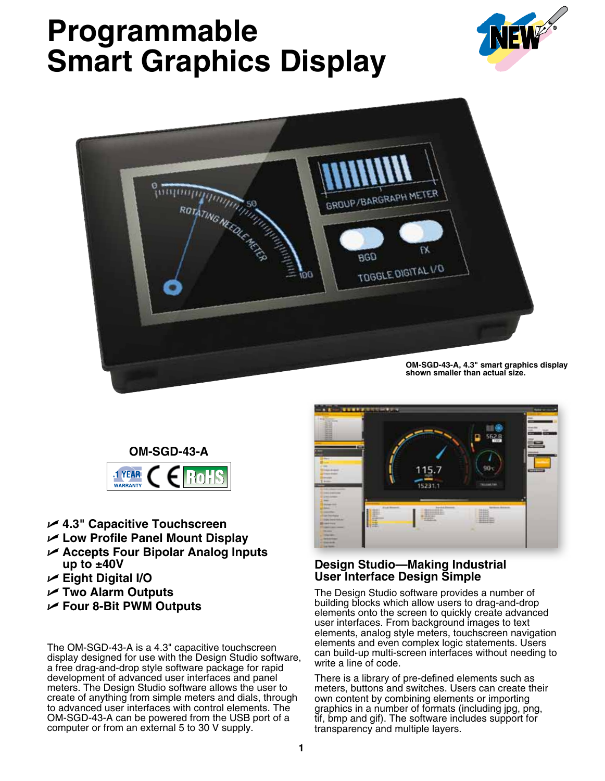# **Programmable Smart Graphics Display**







- U **4.3" Capacitive Touchscreen**
- U **Low Profile Panel Mount Display**
- U **Accepts Four Bipolar Analog Inputs up to ±40V**
- U **Eight Digital I/O**
- U **Two Alarm Outputs**
- U **Four 8-Bit PWM Outputs**

The OM-SGD-43-A is a 4.3" capacitive touchscreen display designed for use with the Design Studio software, a free drag-and-drop style software package for rapid development of advanced user interfaces and panel meters. The Design Studio software allows the user to create of anything from simple meters and dials, through to advanced user interfaces with control elements. The OM-SGD-43-A can be powered from the USB port of a computer or from an external 5 to 30 V supply.



### **Design Studio—Making Industrial User Interface Design Simple**

The Design Studio software provides a number of building blocks which allow users to drag-and-drop elements onto the screen to quickly create advanced user interfaces. From background images to text elements, analog style meters, touchscreen navigation elements and even complex logic statements. Users can build-up multi-screen interfaces without needing to write a line of code.

There is a library of pre-defined elements such as meters, buttons and switches. Users can create their own content by combining elements or importing graphics in a number of formats (including jpg, png, tif, bmp and gif). The software includes support for transparency and multiple layers.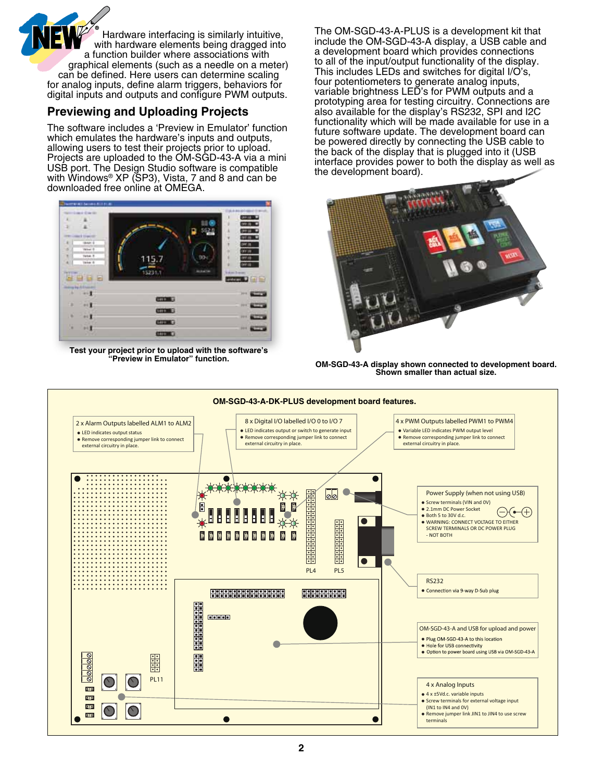

# **Previewing and Uploading Projects**

The software includes a 'Preview in Emulator' function which emulates the hardware's inputs and outputs, allowing users to test their projects prior to upload. Projects are uploaded to the OM-SGD-43-A via a mini USB port. The Design Studio software is compatible with Windows® XP (SP3), Vista, 7 and 8 and can be downloaded free online at OMEGA.



**Test your project prior to upload with the software's**

The OM-SGD-43-A-PLUS is a development kit that include the OM-SGD-43-A display, a USB cable and a development board which provides connections to all of the input/output functionality of the display. This includes LEDs and switches for digital I/O's, four potentiometers to generate analog inputs, variable brightness LED's for PWM outputs and a prototyping area for testing circuitry. Connections are also available for the display's RS232, SPI and I2C functionality which will be made available for use in a future software update. The development board can be powered directly by connecting the USB cable to the back of the display that is plugged into it (USB interface provides power to both the display as well as the development board).



**OM-SGD-43-A display shown connected to development board. Shown smaller than actual size.**

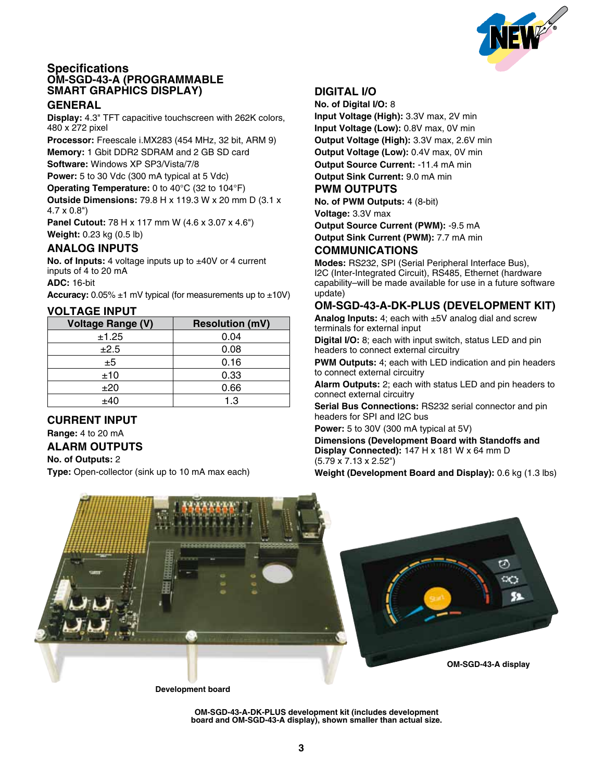

# **Specifications OM-SGD-43-A (Programmable Smart Graphics Display)**

#### **GENERAL**

**Display:** 4.3" TFT capacitive touchscreen with 262K colors, 480 x 272 pixel

**Processor:** Freescale i.MX283 (454 MHz, 32 bit, ARM 9) **Memory:** 1 Gbit DDR2 SDRAM and 2 GB SD card

**Software:** Windows XP SP3/Vista/7/8

**Power:** 5 to 30 Vdc (300 mA typical at 5 Vdc)

**Operating Temperature:** 0 to 40°C (32 to 104°F)

**Outside Dimensions:** 79.8 H x 119.3 W x 20 mm D (3.1 x 4.7 x 0.8")

**Panel Cutout:** 78 H x 117 mm W (4.6 x 3.07 x 4.6") **Weight:** 0.23 kg (0.5 lb)

## **ANALOG INPUTS**

**No. of Inputs:** 4 voltage inputs up to ±40V or 4 current inputs of 4 to 20 mA

**ADC:** 16-bit

**Accuracy:** 0.05% ±1 mV typical (for measurements up to ±10V)

#### **VOLTAGE INPUT**

| <b>Voltage Range (V)</b> | <b>Resolution (mV)</b> |
|--------------------------|------------------------|
| ±1.25                    | 0.04                   |
| ±2.5                     | 0.08                   |
| ±5                       | 0.16                   |
| ±10                      | 0.33                   |
| ±20                      | 0.66                   |
| +40                      | 1.3                    |

#### **CURRENT INPUT**

**Range:** 4 to 20 mA

#### **ALARM OUTPUTS**

**No. of Outputs:** 2

**Type:** Open-collector (sink up to 10 mA max each)

#### **DIGITAL I/O**

**No. of Digital I/O:** 8

**Input Voltage (High):** 3.3V max, 2V min **Input Voltage (Low):** 0.8V max, 0V min **Output Voltage (High):** 3.3V max, 2.6V min **Output Voltage (Low):** 0.4V max, 0V min **Output Source Current:** -11.4 mA min

**Output Sink Current:** 9.0 mA min

#### **PWM OUTPUTS**

**No. of PWM Outputs:** 4 (8-bit)

**Voltage:** 3.3V max

**Output Source Current (PWM):** -9.5 mA **Output Sink Current (PWM):** 7.7 mA min

#### **COMMUNICATIONS**

**Modes:** RS232, SPI (Serial Peripheral Interface Bus), I2C (Inter-Integrated Circuit), RS485, Ethernet (hardware capability–will be made available for use in a future software update)

## **OM-SGD-43-A-DK-PLUS (Development Kit)**

**Analog Inputs:** 4; each with ±5V analog dial and screw terminals for external input

**Digital I/O:** 8; each with input switch, status LED and pin headers to connect external circuitry

**PWM Outputs:** 4: each with LED indication and pin headers to connect external circuitry

**Alarm Outputs:** 2; each with status LED and pin headers to connect external circuitry

**Serial Bus Connections:** RS232 serial connector and pin headers for SPI and I2C bus

**Power:** 5 to 30V (300 mA typical at 5V)

**Dimensions (Development Board with Standoffs and Display Connected):** 147 H x 181 W x 64 mm D (5.79 x 7.13 x 2.52")

**Weight (Development Board and Display):** 0.6 kg (1.3 lbs)



**Development board**

**OM-SGD-43-A-DK-PLUS development kit (includes development board and OM-SGD-43-A display), shown smaller than actual size.**